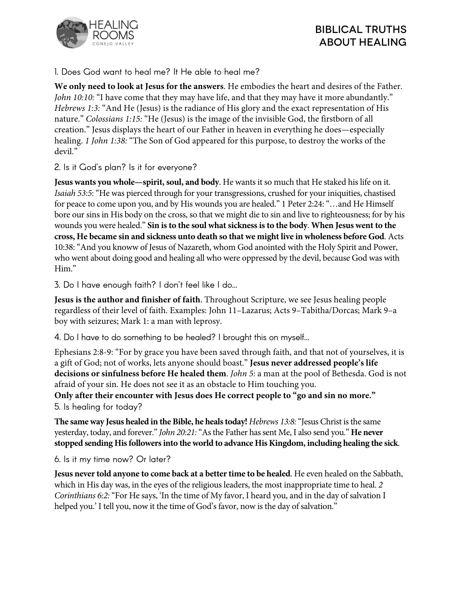



1. Does God want to heal me? It He able to heal me?

**We only need to look at Jesus for the answers**. He embodies the heart and desires of the Father. *John 10:10:* "I have come that they may have life, and that they may have it more abundantly." *Hebrews 1:3:* "And He (Jesus) is the radiance of His glory and the exact representation of His nature." *Colossians 1:15:* "He (Jesus) is the image of the invisible God, the firstborn of all creation." Jesus displays the heart of our Father in heaven in everything he does—especially healing. *1 John 1:38:* "The Son of God appeared for this purpose, to destroy the works of the devil."

2. Is it God's plan? Is it for everyone?

**Jesus wants you whole—spirit, soul, and body**. He wants it so much that He staked his life on it. *Isaiah 53:5*: "He was pierced through for your transgressions, crushed for your iniquities, chastised for peace to come upon you, and by His wounds you are healed." 1 Peter 2:24: "…and He Himself bore our sins in His body on the cross, so that we might die to sin and live to righteousness; for by his wounds you were healed." **Sin is to the soul what sickness is to the body**. **When Jesus went to the cross, He became sin and sickness unto death so that we might live in wholeness before God**. Acts 10:38: "And you knoww of Jesus of Nazareth, whom God anointed with the Holy Spirit and Power, who went about doing good and healing all who were oppressed by the devil, because God was with Him."

3. Do I have enough faith? I don't feel like I do…

**Jesus is the author and finisher of faith**. Throughout Scripture, we see Jesus healing people regardless of their level of faith. Examples: John 11–Lazarus; Acts 9–Tabitha/Dorcas; Mark 9–a boy with seizures; Mark 1: a man with leprosy.

4. Do I have to do something to be healed? I brought this on myself…

Ephesians 2:8-9: "For by grace you have been saved through faith, and that not of yourselves, it is a gift of God; not of works, lets anyone should boast." **Jesus never addressed people's life decisions or sinfulness before He healed them**. *John 5*: a man at the pool of Bethesda. God is not afraid of your sin. He does not see it as an obstacle to Him touching you.

**Only after their encounter with Jesus does He correct people to "go and sin no more."** 5. Is healing for today?

**The same way Jesus healed in the Bible, he heals today!** *Hebrews 13:8:*"Jesus Christ is the same yesterday, today, and forever." *John 20:21:*"As the Father has sent Me, I also send you." **He never stopped sending His followers into the world to advance His Kingdom, including healing the sick**.

6. Is it my time now? Or later?

**Jesus never told anyone to come back at a better time to be healed**. He even healed on the Sabbath, which in His day was, in the eyes of the religious leaders, the most inappropriate time to heal. *2 Corinthians 6:2:*"For He says, 'In the time of My favor, I heard you, and in the day of salvation I helped you.' I tell you, now it the time of God's favor, now is the day of salvation."